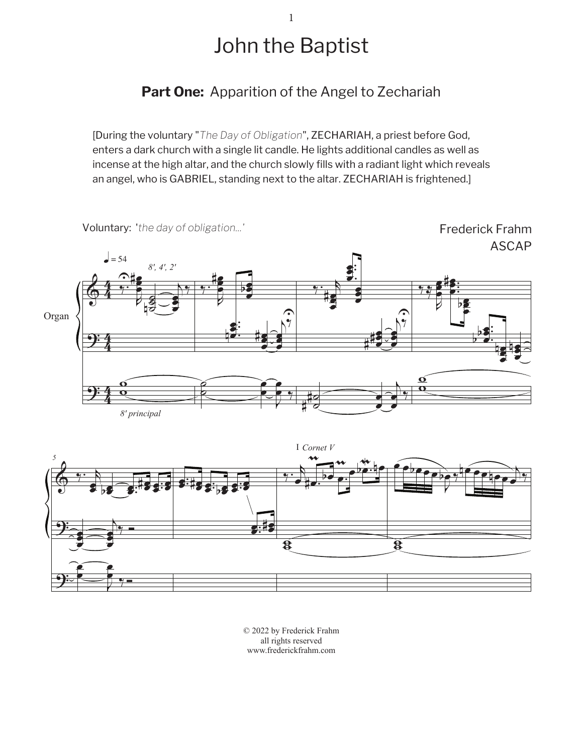## John the Baptist

1

**Part One:** Apparition of the Angel to Zechariah

[During the voluntary "*The Day of Obligation*", ZECHARIAH, a priest before God, enters a dark church with a single lit candle. He lights additional candles as well as incense at the high altar, and the church slowly fills with a radiant light which reveals an angel, who is GABRIEL, standing next to the altar. ZECHARIAH is frightened.]





© 2022 by Frederick Frahm all rights reserved www.frederickfrahm.com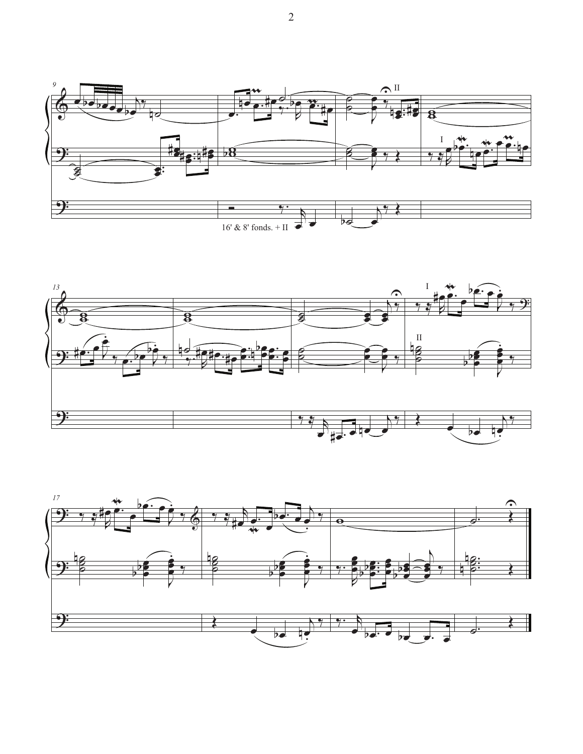



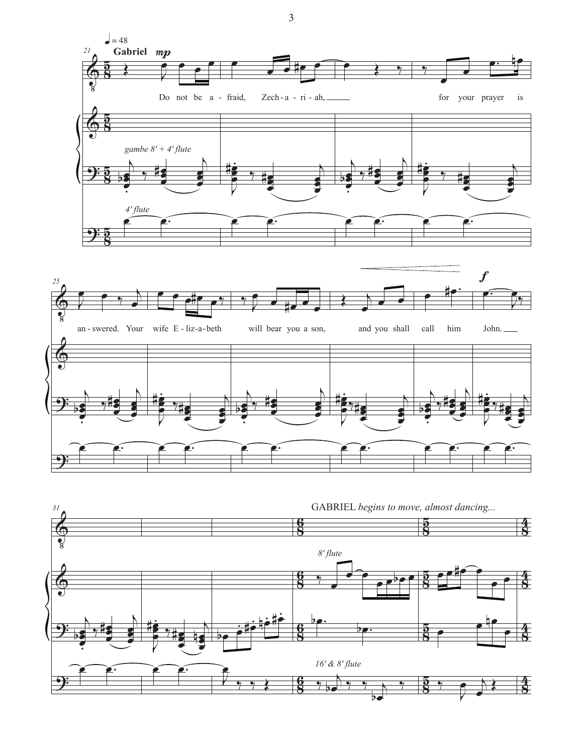



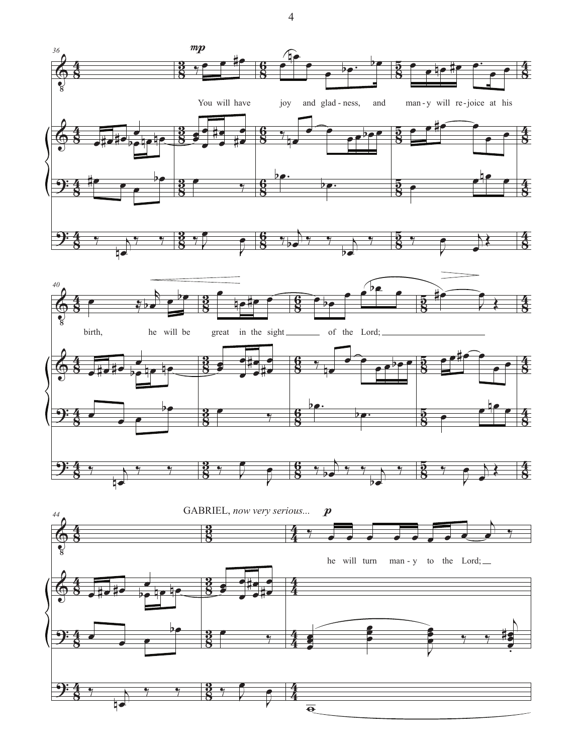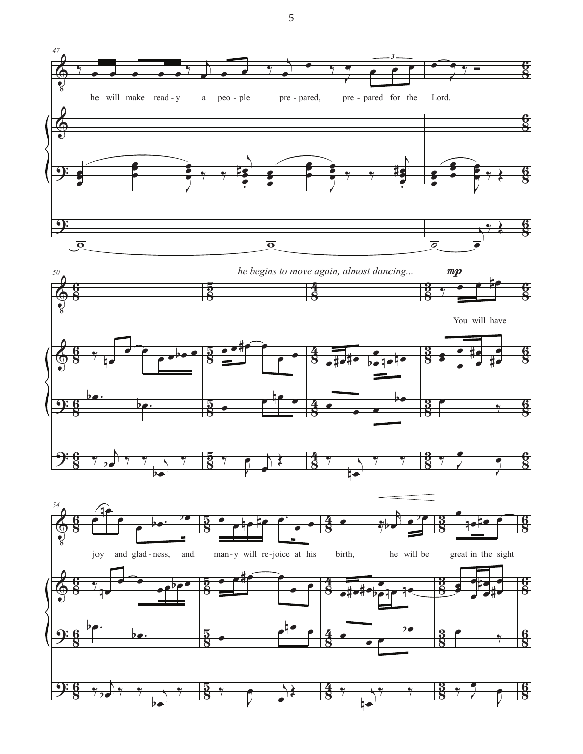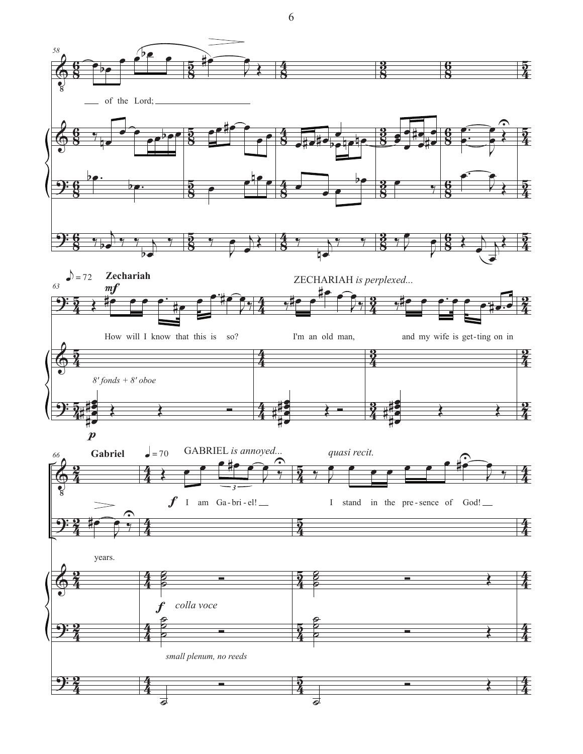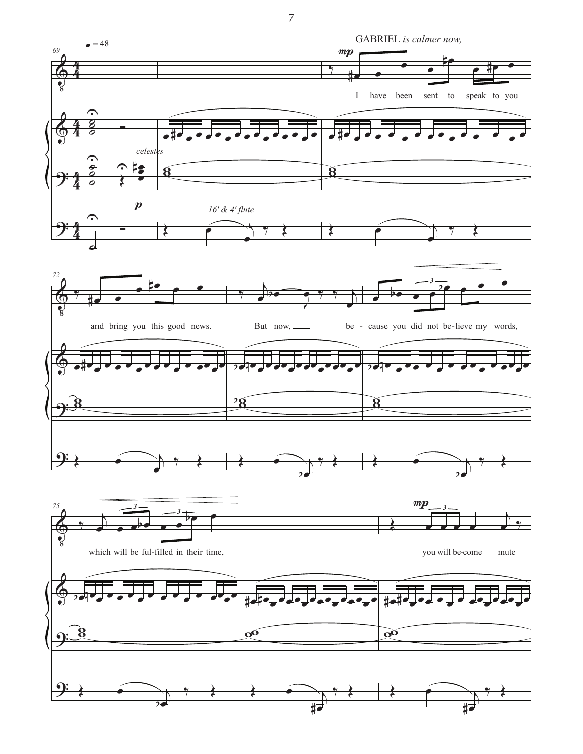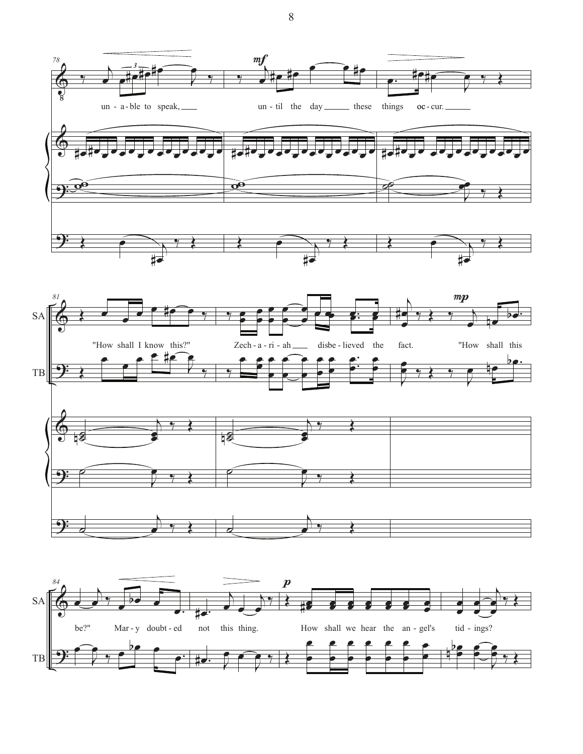



 $\,8\,$